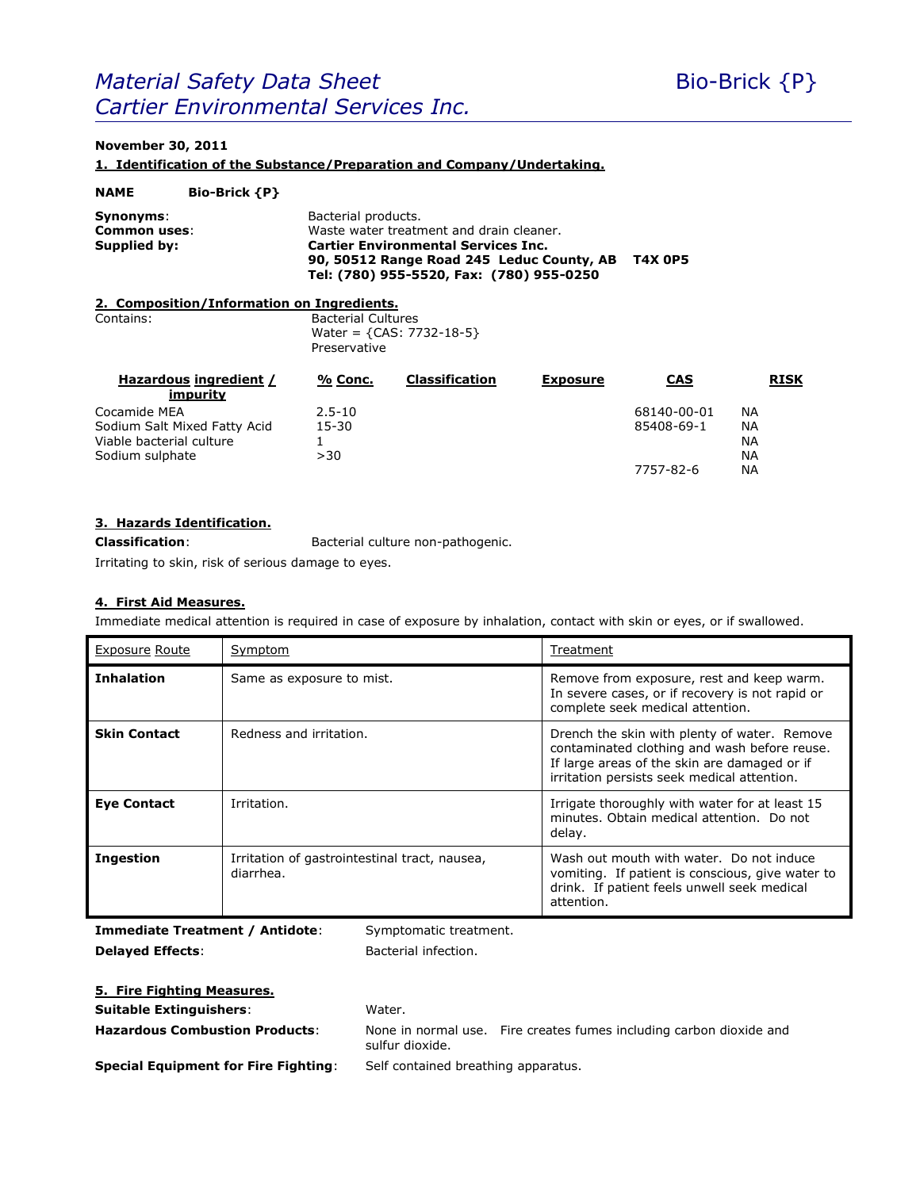## *Material Safety Data Sheet* Bio-Brick {P} *Cartier Environmental Services Inc.*

## **November 30, 2011**

**1. Identification of the Substance/Preparation and Company/Undertaking.**

| Bacterial products.<br>Synonyms:<br>Waste water treatment and drain cleaner.<br>Common uses:<br><b>Cartier Environmental Services Inc.</b><br><b>Supplied by:</b><br><b>T4X 0P5</b><br>90, 50512 Range Road 245 Leduc County, AB<br>Tel: (780) 955-5520, Fax: (780) 955-0250<br>2. Composition/Information on Ingredients.<br><b>Bacterial Cultures</b><br>Contains:<br>Water = ${CAS: 7732-18-5}$<br>Preservative<br>Hazardous ingredient /<br>Classification<br>% Conc.<br><b>CAS</b><br><b>Exposure</b><br>impurity | <b>NAME</b>  | <b>Bio-Brick {P}</b> |            |  |  |             |           |             |
|------------------------------------------------------------------------------------------------------------------------------------------------------------------------------------------------------------------------------------------------------------------------------------------------------------------------------------------------------------------------------------------------------------------------------------------------------------------------------------------------------------------------|--------------|----------------------|------------|--|--|-------------|-----------|-------------|
|                                                                                                                                                                                                                                                                                                                                                                                                                                                                                                                        |              |                      |            |  |  |             |           |             |
|                                                                                                                                                                                                                                                                                                                                                                                                                                                                                                                        |              |                      |            |  |  |             |           |             |
|                                                                                                                                                                                                                                                                                                                                                                                                                                                                                                                        |              |                      |            |  |  |             |           |             |
|                                                                                                                                                                                                                                                                                                                                                                                                                                                                                                                        |              |                      |            |  |  |             |           | <b>RISK</b> |
|                                                                                                                                                                                                                                                                                                                                                                                                                                                                                                                        | Cocamide MEA |                      | $2.5 - 10$ |  |  | 68140-00-01 | <b>NA</b> |             |
| 15-30<br>Sodium Salt Mixed Fatty Acid<br>85408-69-1<br><b>NA</b>                                                                                                                                                                                                                                                                                                                                                                                                                                                       |              |                      |            |  |  |             |           |             |
| Viable bacterial culture<br><b>NA</b><br>1                                                                                                                                                                                                                                                                                                                                                                                                                                                                             |              |                      |            |  |  |             |           |             |
| Sodium sulphate<br>>30<br><b>NA</b><br>ΝA<br>7757-82-6                                                                                                                                                                                                                                                                                                                                                                                                                                                                 |              |                      |            |  |  |             |           |             |

### **3. Hazards Identification.**

**Classification**: Bacterial culture non-pathogenic.

Irritating to skin, risk of serious damage to eyes.

## **4. First Aid Measures.**

Immediate medical attention is required in case of exposure by inhalation, contact with skin or eyes, or if swallowed.

| <b>Exposure Route</b> | Symptom                                                    | Treatment                                                                                                                                                                                   |
|-----------------------|------------------------------------------------------------|---------------------------------------------------------------------------------------------------------------------------------------------------------------------------------------------|
| <b>Inhalation</b>     | Same as exposure to mist.                                  | Remove from exposure, rest and keep warm.<br>In severe cases, or if recovery is not rapid or<br>complete seek medical attention.                                                            |
| <b>Skin Contact</b>   | Redness and irritation.                                    | Drench the skin with plenty of water. Remove<br>contaminated clothing and wash before reuse.<br>If large areas of the skin are damaged or if<br>irritation persists seek medical attention. |
| <b>Eye Contact</b>    | Irritation.                                                | Irrigate thoroughly with water for at least 15<br>minutes. Obtain medical attention. Do not<br>delay.                                                                                       |
| Ingestion             | Irritation of gastrointestinal tract, nausea,<br>diarrhea. | Wash out mouth with water. Do not induce<br>vomiting. If patient is conscious, give water to<br>drink. If patient feels unwell seek medical<br>attention.                                   |

**Immediate Treatment / Antidote**: Symptomatic treatment. **Delayed Effects:** Bacterial infection.

## **5. Fire Fighting Measures.**

**Suitable Extinguishers:** Water.

**Hazardous Combustion Products**: None in normal use. Fire creates fumes including carbon dioxide and sulfur dioxide.

**Special Equipment for Fire Fighting**: Self contained breathing apparatus.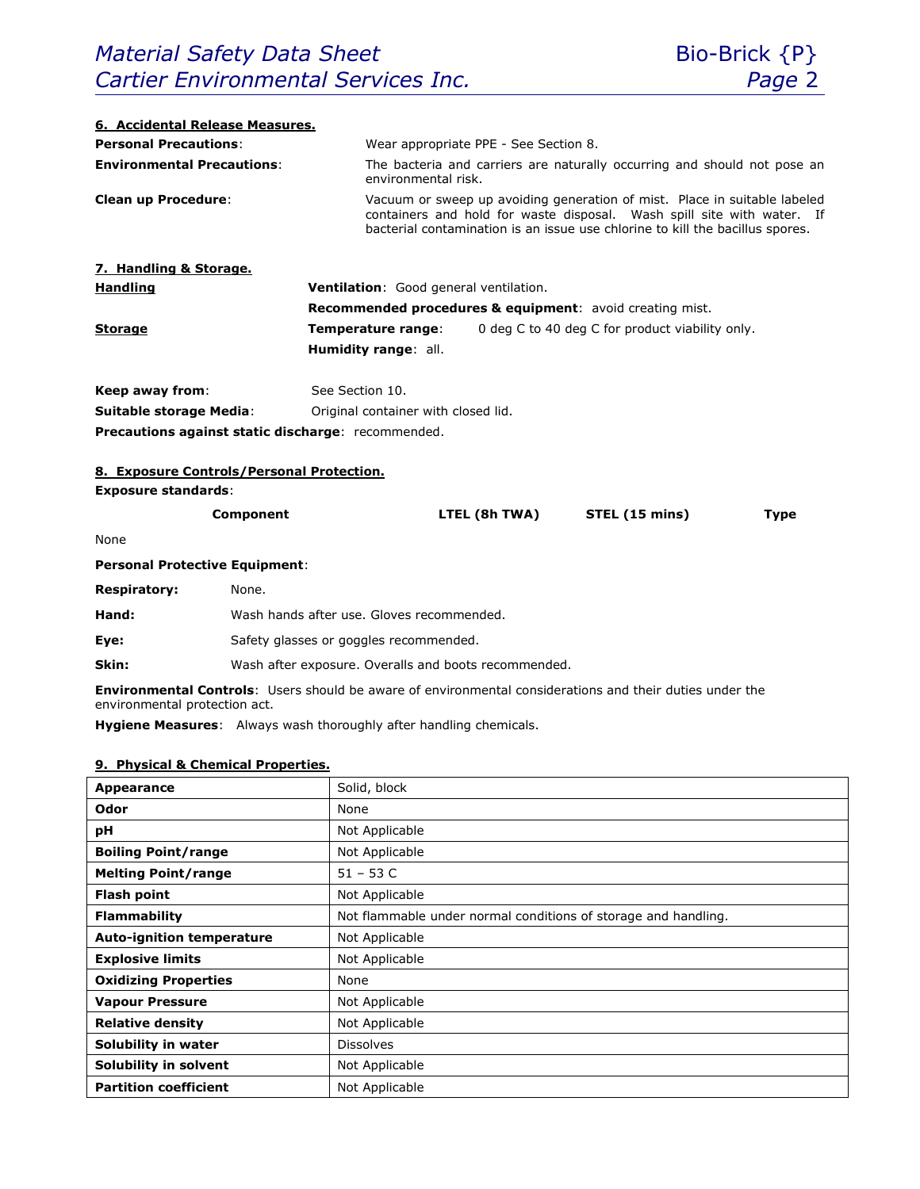٦

| 6. Accidental Release Measures.                                                                                                                                                                                                                                    |                                                                                                                 |  |  |  |  |
|--------------------------------------------------------------------------------------------------------------------------------------------------------------------------------------------------------------------------------------------------------------------|-----------------------------------------------------------------------------------------------------------------|--|--|--|--|
| <b>Personal Precautions:</b>                                                                                                                                                                                                                                       | Wear appropriate PPE - See Section 8.                                                                           |  |  |  |  |
| <b>Environmental Precautions:</b>                                                                                                                                                                                                                                  | The bacteria and carriers are naturally occurring and should not pose an<br>environmental risk.                 |  |  |  |  |
| <b>Clean up Procedure:</b><br>Vacuum or sweep up avoiding generation of mist. Place in suitable labeled<br>containers and hold for waste disposal. Wash spill site with water. If<br>bacterial contamination is an issue use chlorine to kill the bacillus spores. |                                                                                                                 |  |  |  |  |
| 7. Handling & Storage.                                                                                                                                                                                                                                             |                                                                                                                 |  |  |  |  |
| <b>Handling</b>                                                                                                                                                                                                                                                    | Ventilation: Good general ventilation.                                                                          |  |  |  |  |
|                                                                                                                                                                                                                                                                    | Recommended procedures & equipment: avoid creating mist.                                                        |  |  |  |  |
| Storage                                                                                                                                                                                                                                                            | 0 deg C to 40 deg C for product viability only.<br>Temperature range:                                           |  |  |  |  |
|                                                                                                                                                                                                                                                                    | Humidity range: all.                                                                                            |  |  |  |  |
| Keep away from:                                                                                                                                                                                                                                                    | See Section 10.                                                                                                 |  |  |  |  |
| Suitable storage Media:                                                                                                                                                                                                                                            | Original container with closed lid.                                                                             |  |  |  |  |
| Precautions against static discharge: recommended.                                                                                                                                                                                                                 |                                                                                                                 |  |  |  |  |
|                                                                                                                                                                                                                                                                    |                                                                                                                 |  |  |  |  |
| 8. Exposure Controls/Personal Protection.                                                                                                                                                                                                                          |                                                                                                                 |  |  |  |  |
| <b>Exposure standards:</b>                                                                                                                                                                                                                                         |                                                                                                                 |  |  |  |  |
| Component                                                                                                                                                                                                                                                          | LTEL (8h TWA)<br>STEL (15 mins)<br><b>Type</b>                                                                  |  |  |  |  |
| None                                                                                                                                                                                                                                                               |                                                                                                                 |  |  |  |  |
| <b>Personal Protective Equipment:</b>                                                                                                                                                                                                                              |                                                                                                                 |  |  |  |  |
| <b>Respiratory:</b><br>None.                                                                                                                                                                                                                                       |                                                                                                                 |  |  |  |  |
| Hand:                                                                                                                                                                                                                                                              | Wash hands after use. Gloves recommended.                                                                       |  |  |  |  |
| Eye:                                                                                                                                                                                                                                                               | Safety glasses or goggles recommended.                                                                          |  |  |  |  |
| Skin:                                                                                                                                                                                                                                                              | Wash after exposure. Overalls and boots recommended.                                                            |  |  |  |  |
| environmental protection act.                                                                                                                                                                                                                                      | <b>Environmental Controls:</b> Users should be aware of environmental considerations and their duties under the |  |  |  |  |
|                                                                                                                                                                                                                                                                    | Hygiene Measures: Always wash thoroughly after handling chemicals.                                              |  |  |  |  |
| 9. Physical & Chemical Properties.                                                                                                                                                                                                                                 |                                                                                                                 |  |  |  |  |
| Appearance                                                                                                                                                                                                                                                         | Solid, block                                                                                                    |  |  |  |  |
| Odor                                                                                                                                                                                                                                                               | None                                                                                                            |  |  |  |  |

| <b>Appearance</b>                | Solid, block                                                   |
|----------------------------------|----------------------------------------------------------------|
| Odor                             | None                                                           |
| рH                               | Not Applicable                                                 |
| <b>Boiling Point/range</b>       | Not Applicable                                                 |
| <b>Melting Point/range</b>       | $51 - 53$ C                                                    |
| <b>Flash point</b>               | Not Applicable                                                 |
| <b>Flammability</b>              | Not flammable under normal conditions of storage and handling. |
| <b>Auto-ignition temperature</b> | Not Applicable                                                 |
| <b>Explosive limits</b>          | Not Applicable                                                 |
| <b>Oxidizing Properties</b>      | None                                                           |
| <b>Vapour Pressure</b>           | Not Applicable                                                 |
| <b>Relative density</b>          | Not Applicable                                                 |
| Solubility in water              | <b>Dissolves</b>                                               |
| Solubility in solvent            | Not Applicable                                                 |
| <b>Partition coefficient</b>     | Not Applicable                                                 |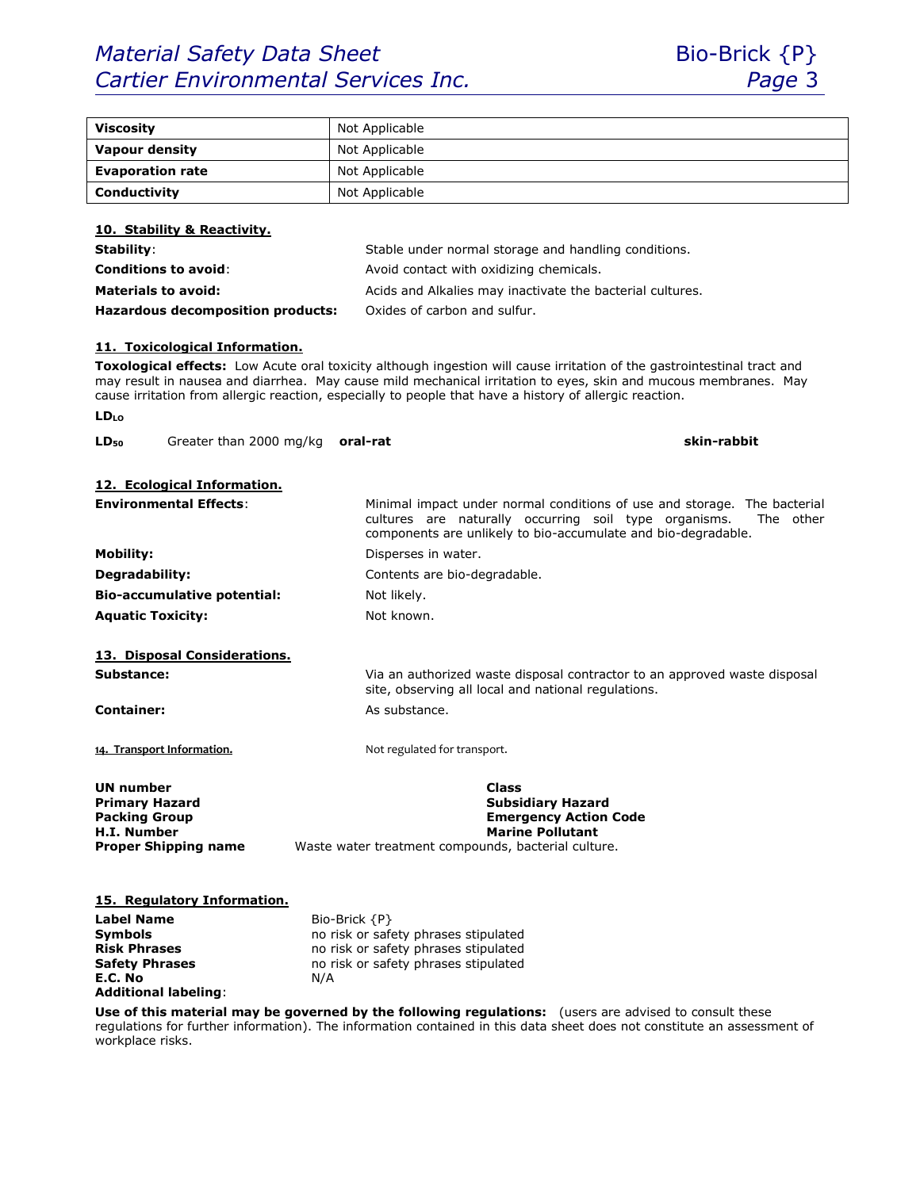# *Material Safety Data Sheet* Bio-Brick {P} *Cartier Environmental Services Inc. Page* 3

**E.C. No** N/A

**Additional labeling**:



| <b>Viscosity</b>                                                                                                   | Not Applicable                                                                                                                                                                                                                                                                                                                                        |  |
|--------------------------------------------------------------------------------------------------------------------|-------------------------------------------------------------------------------------------------------------------------------------------------------------------------------------------------------------------------------------------------------------------------------------------------------------------------------------------------------|--|
| <b>Vapour density</b><br>Not Applicable                                                                            |                                                                                                                                                                                                                                                                                                                                                       |  |
| <b>Evaporation rate</b>                                                                                            | Not Applicable                                                                                                                                                                                                                                                                                                                                        |  |
| Conductivity                                                                                                       | Not Applicable                                                                                                                                                                                                                                                                                                                                        |  |
|                                                                                                                    |                                                                                                                                                                                                                                                                                                                                                       |  |
| 10. Stability & Reactivity.                                                                                        |                                                                                                                                                                                                                                                                                                                                                       |  |
| Stability:                                                                                                         | Stable under normal storage and handling conditions.                                                                                                                                                                                                                                                                                                  |  |
| <b>Conditions to avoid:</b>                                                                                        | Avoid contact with oxidizing chemicals.                                                                                                                                                                                                                                                                                                               |  |
| <b>Materials to avoid:</b>                                                                                         | Acids and Alkalies may inactivate the bacterial cultures.                                                                                                                                                                                                                                                                                             |  |
| <b>Hazardous decomposition products:</b>                                                                           | Oxides of carbon and sulfur.                                                                                                                                                                                                                                                                                                                          |  |
|                                                                                                                    |                                                                                                                                                                                                                                                                                                                                                       |  |
| 11. Toxicological Information.<br><b>LD</b> <sub>LO</sub>                                                          | Toxological effects: Low Acute oral toxicity although ingestion will cause irritation of the gastrointestinal tract and<br>may result in nausea and diarrhea. May cause mild mechanical irritation to eyes, skin and mucous membranes. May<br>cause irritation from allergic reaction, especially to people that have a history of allergic reaction. |  |
|                                                                                                                    |                                                                                                                                                                                                                                                                                                                                                       |  |
| Greater than 2000 mg/kg<br>$LD_{50}$                                                                               | skin-rabbit<br>oral-rat                                                                                                                                                                                                                                                                                                                               |  |
|                                                                                                                    |                                                                                                                                                                                                                                                                                                                                                       |  |
| 12. Ecological Information.<br><b>Environmental Effects:</b>                                                       | Minimal impact under normal conditions of use and storage. The bacterial<br>cultures are naturally occurring soil type organisms.<br>The other<br>components are unlikely to bio-accumulate and bio-degradable.                                                                                                                                       |  |
| <b>Mobility:</b>                                                                                                   | Disperses in water.                                                                                                                                                                                                                                                                                                                                   |  |
| Degradability:                                                                                                     | Contents are bio-degradable.                                                                                                                                                                                                                                                                                                                          |  |
| <b>Bio-accumulative potential:</b>                                                                                 | Not likely.                                                                                                                                                                                                                                                                                                                                           |  |
| <b>Aquatic Toxicity:</b>                                                                                           | Not known.                                                                                                                                                                                                                                                                                                                                            |  |
|                                                                                                                    |                                                                                                                                                                                                                                                                                                                                                       |  |
| 13. Disposal Considerations.                                                                                       |                                                                                                                                                                                                                                                                                                                                                       |  |
| Substance:                                                                                                         | Via an authorized waste disposal contractor to an approved waste disposal<br>site, observing all local and national regulations.                                                                                                                                                                                                                      |  |
| <b>Container:</b>                                                                                                  | As substance.                                                                                                                                                                                                                                                                                                                                         |  |
| 14. Transport Information.                                                                                         | Not regulated for transport.                                                                                                                                                                                                                                                                                                                          |  |
| UN number<br><b>Primary Hazard</b><br><b>Packing Group</b><br><b>H.I. Number</b><br><b>Proper Shipping name</b>    | Class<br><b>Subsidiary Hazard</b><br><b>Emergency Action Code</b><br><b>Marine Pollutant</b><br>Waste water treatment compounds, bacterial culture.                                                                                                                                                                                                   |  |
| 15. Regulatory Information.<br><b>Label Name</b><br><b>Symbols</b><br><b>Risk Phrases</b><br><b>Safety Phrases</b> | Bio-Brick $\{P\}$<br>no risk or safety phrases stipulated<br>no risk or safety phrases stipulated<br>no risk or safety phrases stipulated                                                                                                                                                                                                             |  |

**Use of this material may be governed by the following regulations:** (users are advised to consult these regulations for further information). The information contained in this data sheet does not constitute an assessment of workplace risks.